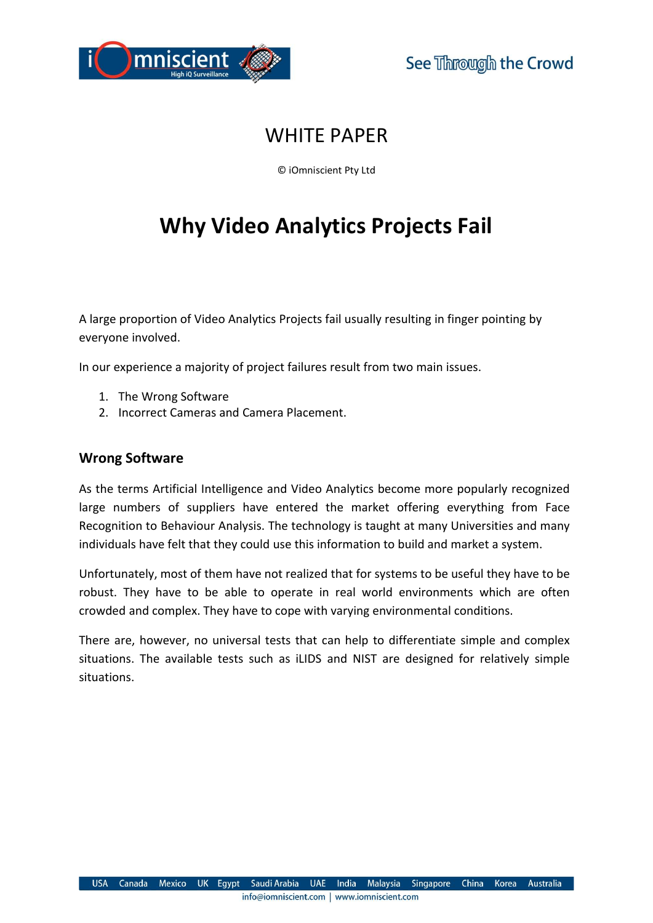

# WHITE PAPER

© iOmniscient Pty Ltd

# Why Video Analytics Projects Fail

A large proportion of Video Analytics Projects fail usually resulting in finger pointing by everyone involved.

In our experience a majority of project failures result from two main issues.

- 1. The Wrong Software
- 2. Incorrect Cameras and Camera Placement.

## Wrong Software

As the terms Artificial Intelligence and Video Analytics become more popularly recognized large numbers of suppliers have entered the market offering everything from Face Recognition to Behaviour Analysis. The technology is taught at many Universities and many individuals have felt that they could use this information to build and market a system.

Unfortunately, most of them have not realized that for systems to be useful they have to be robust. They have to be able to operate in real world environments which are often crowded and complex. They have to cope with varying environmental conditions.

There are, however, no universal tests that can help to differentiate simple and complex situations. The available tests such as iLIDS and NIST are designed for relatively simple situations.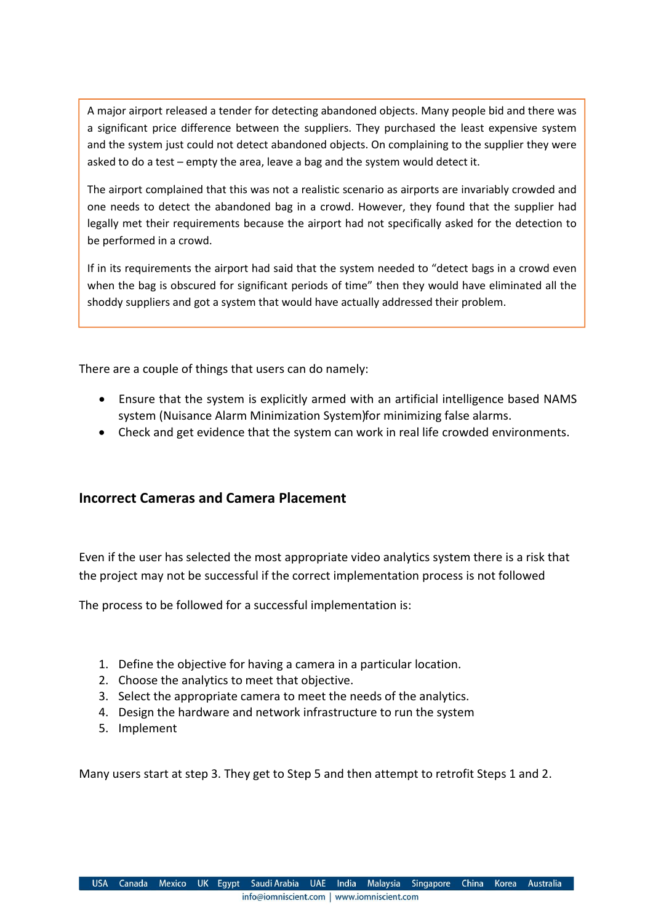A major airport released a tender for detecting abandoned objects. Many people bid and there was a significant price difference between the suppliers. They purchased the least expensive system and the system just could not detect abandoned objects. On complaining to the supplier they were asked to do a test – empty the area, leave a bag and the system would detect it.

The airport complained that this was not a realistic scenario as airports are invariably crowded and one needs to detect the abandoned bag in a crowd. However, they found that the supplier had legally met their requirements because the airport had not specifically asked for the detection to be performed in a crowd.

If in its requirements the airport had said that the system needed to "detect bags in a crowd even when the bag is obscured for significant periods of time" then they would have eliminated all the shoddy suppliers and got a system that would have actually addressed their problem.

There are a couple of things that users can do namely:

- Ensure that the system is explicitly armed with an artificial intelligence based NAMS system (Nuisance Alarm Minimization System) for minimizing false alarms.
- Check and get evidence that the system can work in real life crowded environments.

## Incorrect Cameras and Camera Placement

Even if the user has selected the most appropriate video analytics system there is a risk that the project may not be successful if the correct implementation process is not followed

The process to be followed for a successful implementation is:

- 1. Define the objective for having a camera in a particular location.
- 2. Choose the analytics to meet that objective.
- 3. Select the appropriate camera to meet the needs of the analytics.
- 4. Design the hardware and network infrastructure to run the system
- 5. Implement

Many users start at step 3. They get to Step 5 and then attempt to retrofit Steps 1 and 2.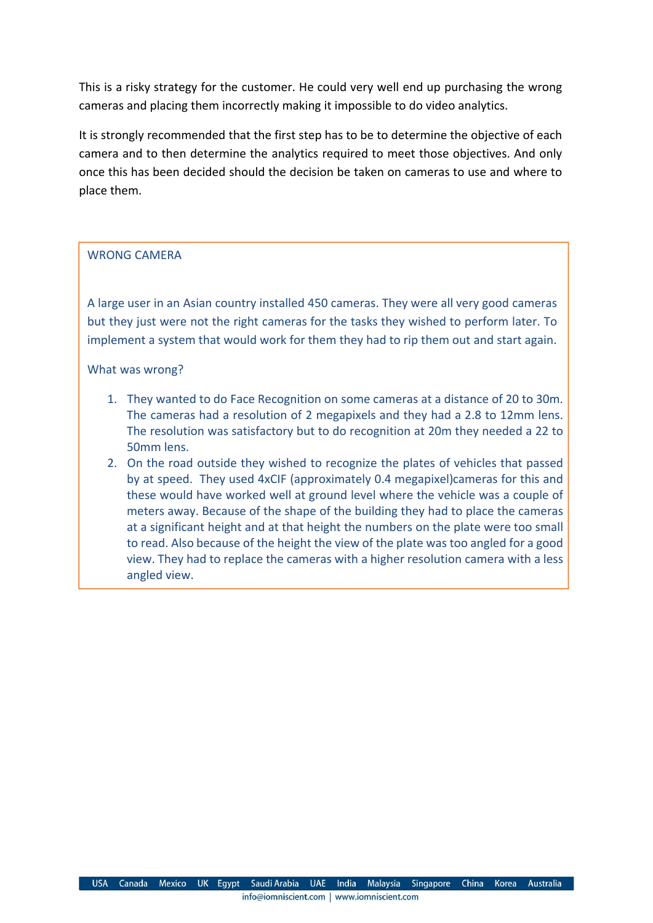This is a risky strategy for the customer. He could very well end up purchasing the wrong cameras and placing them incorrectly making it impossible to do video analytics.

It is strongly recommended that the first step has to be to determine the objective of each camera and to then determine the analytics required to meet those objectives. And only once this has been decided should the decision be taken on cameras to use and where to place them.

#### WRONG CAMERA

A large user in an Asian country installed 450 cameras. They were all very good cameras but they just were not the right cameras for the tasks they wished to perform later. To implement a system that would work for them they had to rip them out and start again.

What was wrong?

- 1. They wanted to do Face Recognition on some cameras at a distance of 20 to 30m. The cameras had a resolution of 2 megapixels and they had a 2.8 to 12mm lens. The resolution was satisfactory but to do recognition at 20m they needed a 22 to 50mm lens.
- 2. On the road outside they wished to recognize the plates of vehicles that passed by at speed. They used 4xCIF (approximately 0.4 megapixel) cameras for this and these would have worked well at ground level where the vehicle was a couple of meters away. Because of the shape of the building they had to place the cameras at a significant height and at that height the numbers on the plate were too small to read. Also because of the height the view of the plate was too angled for a good view. They had to replace the cameras with a higher resolution camera with a less angled view.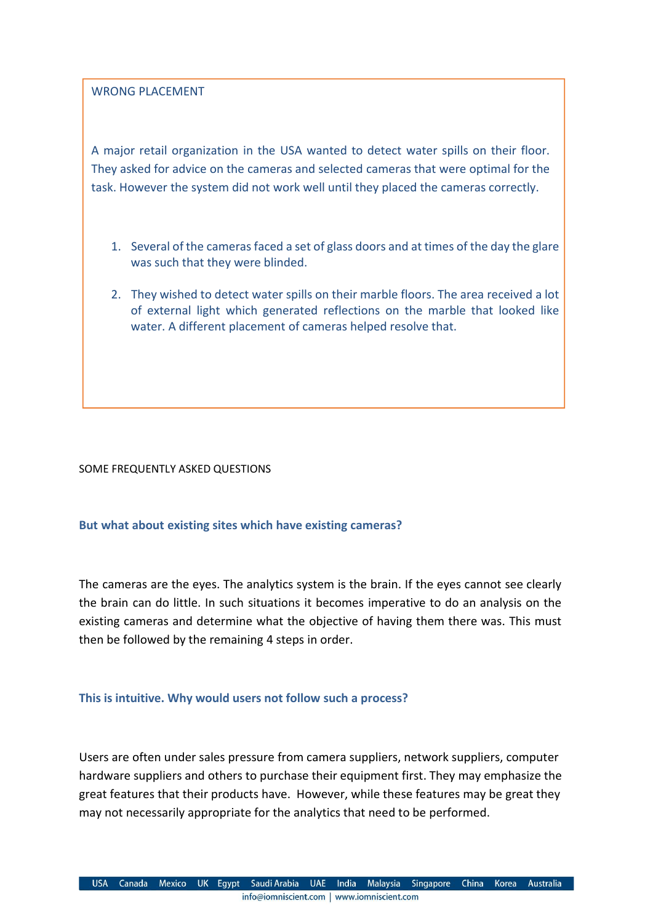WRONG PLACEMENT

A major retail organization in the USA wanted to detect water spills on their floor. They asked for advice on the cameras and selected cameras that were optimal for the task. However the system did not work well until they placed the cameras correctly.

- 1. Several of the cameras faced a set of glass doors and at times of the day the glare was such that they were blinded.
- 2. They wished to detect water spills on their marble floors. The area received a lot of external light which generated reflections on the marble that looked like water. A different placement of cameras helped resolve that.

#### SOME FREQUENTLY ASKED QUESTIONS

#### But what about existing sites which have existing cameras?

The cameras are the eyes. The analytics system is the brain. If the eyes cannot see clearly the brain can do little. In such situations it becomes imperative to do an analysis on the existing cameras and determine what the objective of having them there was. This must then be followed by the remaining 4 steps in order.

#### This is intuitive. Why would users not follow such a process?

Users are often under sales pressure from camera suppliers, network suppliers, computer hardware suppliers and others to purchase their equipment first. They may emphasize the great features that their products have. However, while these features may be great they may not necessarily appropriate for the analytics that need to be performed.